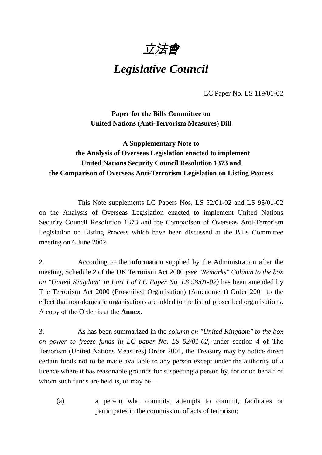

# *Legislative Council*

LC Paper No. LS 119/01-02

**Paper for the Bills Committee on United Nations (Anti-Terrorism Measures) Bill**

# **A Supplementary Note to the Analysis of Overseas Legislation enacted to implement United Nations Security Council Resolution 1373 and the Comparison of Overseas Anti-Terrorism Legislation on Listing Process**

This Note supplements LC Papers Nos. LS 52/01-02 and LS 98/01-02 on the Analysis of Overseas Legislation enacted to implement United Nations Security Council Resolution 1373 and the Comparison of Overseas Anti-Terrorism Legislation on Listing Process which have been discussed at the Bills Committee meeting on 6 June 2002.

2. According to the information supplied by the Administration after the meeting, Schedule 2 of the UK Terrorism Act 2000 *(see "Remarks" Column to the box on "United Kingdom" in Part I of LC Paper No. LS 98/01-02)* has been amended by The Terrorism Act 2000 (Proscribed Organisation) (Amendment) Order 2001 to the effect that non-domestic organisations are added to the list of proscribed organisations. A copy of the Order is at the **Annex**.

3. As has been summarized in the *column on "United Kingdom" to the box on power to freeze funds in LC paper No. LS 52/01-02*, under section 4 of The Terrorism (United Nations Measures) Order 2001, the Treasury may by notice direct certain funds not to be made available to any person except under the authority of a licence where it has reasonable grounds for suspecting a person by, for or on behalf of whom such funds are held is, or may be—

(a) a person who commits, attempts to commit, facilitates or participates in the commission of acts of terrorism;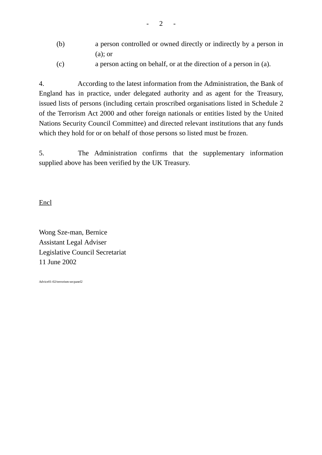- (b) a person controlled or owned directly or indirectly by a person in (a); or
- (c) a person acting on behalf, or at the direction of a person in (a).

4. According to the latest information from the Administration, the Bank of England has in practice, under delegated authority and as agent for the Treasury, issued lists of persons (including certain proscribed organisations listed in Schedule 2 of the Terrorism Act 2000 and other foreign nationals or entities listed by the United Nations Security Council Committee) and directed relevant institutions that any funds which they hold for or on behalf of those persons so listed must be frozen.

5. The Administration confirms that the supplementary information supplied above has been verified by the UK Treasury.

Encl

Wong Sze-man, Bernice Assistant Legal Adviser Legislative Council Secretariat 11 June 2002

Advice01-02/terrorism-secpanel2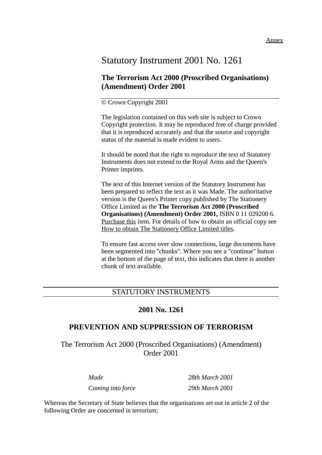#### Annex

# Statutory Instrument 2001 No. 1261

# **The Terrorism Act 2000 (Proscribed Organisations) (Amendment) Order 2001**

# © Crown Copyright 2001

The legislation contained on this web site is subject to Crown Copyright protection. It may be reproduced free of charge provided that it is reproduced accurately and that the source and copyright status of the material is made evident to users.

It should be noted that the right to reproduce the text of Statutory Instruments does not extend to the Royal Arms and the Queen's Printer imprints.

The text of this Internet version of the Statutory Instrument has been prepared to reflect the text as it was Made. The authoritative version is the Queen's Printer copy published by The Stationery Office Limited as the **The Terrorism Act 2000 (Proscribed Organisations) (Amendment) Order 2001,** ISBN 0 11 029200 6. Purchase this item. For details of how to obtain an official copy see How to obtain The Stationery Office Limited titles.

To ensure fast access over slow connections, large documents have been segmented into "chunks". Where you see a "continue" button at the bottom of the page of text, this indicates that there is another chunk of text available.

# STATUTORY INSTRUMENTS

# **2001 No. 1261**

# **PREVENTION AND SUPPRESSION OF TERRORISM**

The Terrorism Act 2000 (Proscribed Organisations) (Amendment) Order 2001

*Coming into force 29th March 2001*

*Made 28th March 2001*

Whereas the Secretary of State believes that the organisations set out in article 2 of the following Order are concerned in terrorism;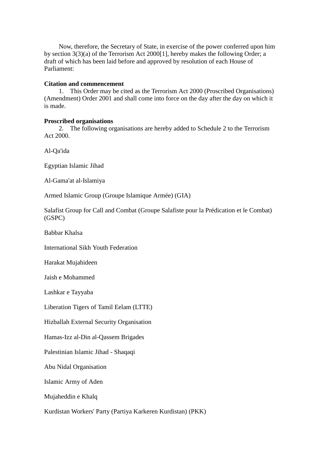Now, therefore, the Secretary of State, in exercise of the power conferred upon him by section 3(3)(a) of the Terrorism Act 2000[1], hereby makes the following Order; a draft of which has been laid before and approved by resolution of each House of Parliament:

#### **Citation and commencement**

1. This Order may be cited as the Terrorism Act 2000 (Proscribed Organisations) (Amendment) Order 2001 and shall come into force on the day after the day on which it is made.

## **Proscribed organisations**

2. The following organisations are hereby added to Schedule 2 to the Terrorism Act 2000.

Al-Qa'ida

Egyptian Islamic Jihad

Al-Gama'at al-Islamiya

Armed Islamic Group (Groupe Islamique Armée) (GIA)

Salafist Group for Call and Combat (Groupe Salafiste pour la Prédication et le Combat) (GSPC)

Babbar Khalsa

International Sikh Youth Federation

Harakat Mujahideen

Jaish e Mohammed

Lashkar e Tayyaba

Liberation Tigers of Tamil Eelam (LTTE)

Hizballah External Security Organisation

Hamas-Izz al-Din al-Qassem Brigades

Palestinian Islamic Jihad - Shaqaqi

Abu Nidal Organisation

Islamic Army of Aden

Mujaheddin e Khalq

Kurdistan Workers' Party (Partiya Karkeren Kurdistan) (PKK)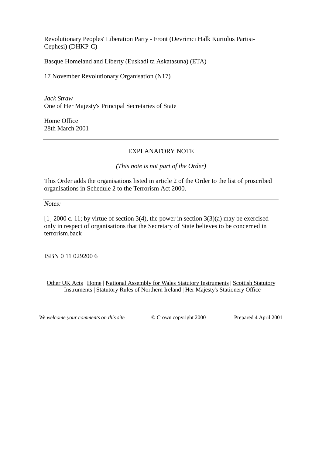Revolutionary Peoples' Liberation Party - Front (Devrimci Halk Kurtulus Partisi-Cephesi) (DHKP-C)

Basque Homeland and Liberty (Euskadi ta Askatasuna) (ETA)

17 November Revolutionary Organisation (N17)

*Jack Straw* One of Her Majesty's Principal Secretaries of State

Home Office 28th March 2001

# EXPLANATORY NOTE

### *(This note is not part of the Order)*

This Order adds the organisations listed in article 2 of the Order to the list of proscribed organisations in Schedule 2 to the Terrorism Act 2000.

*Notes:*

[1] 2000 c. 11; by virtue of section 3(4), the power in section  $3(3)(a)$  may be exercised only in respect of organisations that the Secretary of State believes to be concerned in terrorism.back

ISBN 0 11 029200 6

Other UK Acts | Home | National Assembly for Wales Statutory Instruments | Scottish Statutory | Instruments | Statutory Rules of Northern Ireland | Her Majesty's Stationery Office

*We welcome your comments on this site*  $\degree$   $\degree$  Crown copyright 2000 Prepared 4 April 2001